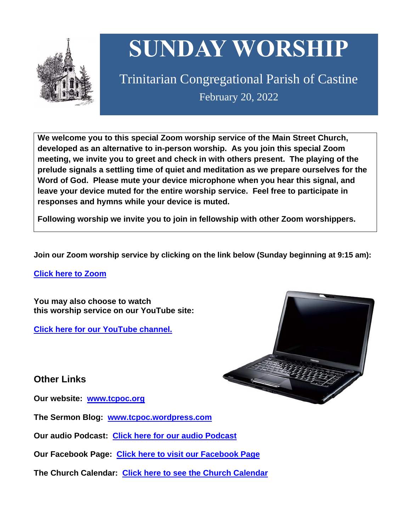

# **SUNDAY WORSHIP**

Trinitarian Congregational Parish of Castine February 20, 2022

**We welcome you to this special Zoom worship service of the Main Street Church, developed as an alternative to in-person worship. As you join this special Zoom meeting, we invite you to greet and check in with others present. The playing of the prelude signals a settling time of quiet and meditation as we prepare ourselves for the Word of God. Please mute your device microphone when you hear this signal, and leave your device muted for the entire worship service. Feel free to participate in responses and hymns while your device is muted.**

**Following worship we invite you to join in fellowship with other Zoom worshippers.**

**Join our Zoom worship service by clicking on the link below (Sunday beginning at 9:15 am):**

**Click here to [Zoom](https://us02web.zoom.us/j/89573448511?pwd=MFRuSFBJR2NWL015RzlyZ1UycmROQT09)**

**You may also choose to watch this worship service on our YouTube site:**

**Click here for our [YouTube](https://www.youtube.com/channel/UC4Bu-O6pN-bdPOqVNg0fBxA) channel.**



**Other Links**

**Our website: [www.tcpoc.org](http://www.tcpoc.org/)**

**The Sermon Blog: [www.tcpoc.wordpress.com](http://www.tcpoc.wordpress.com/)**

**Our audio Podcast: Click here for our audio [Podcast](https://podpoint.com/trinitarian-congregational-parish-of-castine-podcast)**

**Our Facebook Page: Click here to visit our [Facebook](https://www.facebook.com/tcpoc) Page**

**The Church Calendar: Click here to see the Church [Calendar](http://www.tcpoc.org/calendar.html)**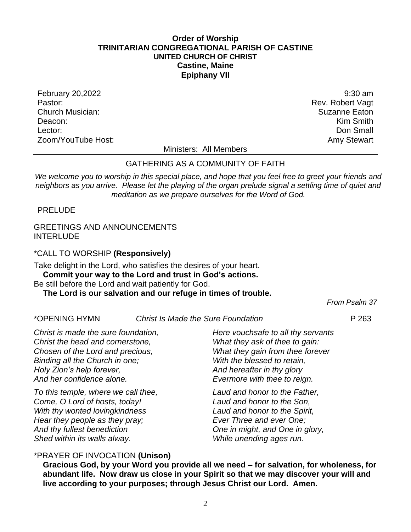## **Order of Worship TRINITARIAN CONGREGATIONAL PARISH OF CASTINE UNITED CHURCH OF CHRIST Castine, Maine Epiphany VII**

February 20,2022 9:30 am Pastor: Rev. Robert Vagt Church Musician: Suzanne Eaton Deacon: **Kim Smith** Lector: Don Small Zoom/YouTube Host: Amy Stewart Communication and Amy Stewart

Ministers: All Members

## GATHERING AS A COMMUNITY OF FAITH

We welcome you to worship in this special place, and hope that you feel free to greet your friends and *neighbors as you arrive. Please let the playing of the organ prelude signal a settling time of quiet and meditation as we prepare ourselves for the Word of God.*

PRELUDE

## GREETINGS AND ANNOUNCEMENTS **INTERLUDE**

\*CALL TO WORSHIP **(Responsively)**

Take delight in the Lord, who satisfies the desires of your heart. **Commit your way to the Lord and trust in God's actions.**

Be still before the Lord and wait patiently for God.

# **The Lord is our salvation and our refuge in times of trouble.**

*From Psalm 37*

#### \*OPENING HYMN *Christ Is Made the Sure Foundation* P 263

*Christ is made the sure foundation, Christ the head and cornerstone, Chosen of the Lord and precious, Binding all the Church in one; Holy Zion's help forever, And her confidence alone.*

*To this temple, where we call thee, Come, O Lord of hosts, today! With thy wonted lovingkindness Hear they people as they pray; And thy fullest benediction Shed within its walls alway.*

*Here vouchsafe to all thy servants What they ask of thee to gain: What they gain from thee forever With the blessed to retain, And hereafter in thy glory Evermore with thee to reign.*

*Laud and honor to the Father, Laud and honor to the Son, Laud and honor to the Spirit, Ever Three and ever One; One in might, and One in glory, While unending ages run.*

## \*PRAYER OF INVOCATION **(Unison)**

**Gracious God, by your Word you provide all we need – for salvation, for wholeness, for abundant life. Now draw us close in your Spirit so that we may discover your will and live according to your purposes; through Jesus Christ our Lord. Amen.**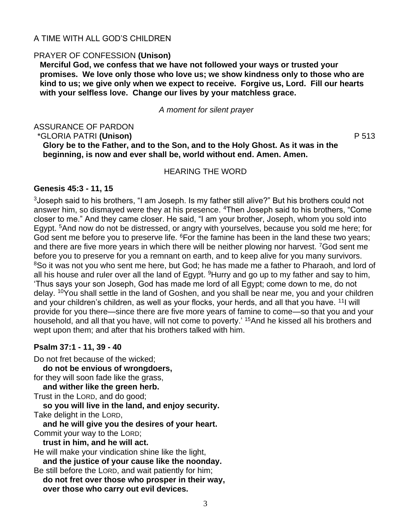## A TIME WITH ALL GOD'S CHILDREN

## PRAYER OF CONFESSION **(Unison)**

**Merciful God, we confess that we have not followed your ways or trusted your promises. We love only those who love us; we show kindness only to those who are kind to us; we give only when we expect to receive. Forgive us, Lord. Fill our hearts with your selfless love. Change our lives by your matchless grace.**

*A moment for silent prayer*

#### ASSURANCE OF PARDON \*GLORIA PATRI **(Unison)** P 513 **Glory be to the Father, and to the Son, and to the Holy Ghost. As it was in the**

HEARING THE WORD

**beginning, is now and ever shall be, world without end. Amen. Amen.**

## **Genesis 45:3 - 11, 15**

 $3$ Joseph said to his brothers, "I am Joseph. Is my father still alive?" But his brothers could not answer him, so dismayed were they at his presence. <sup>4</sup>Then Joseph said to his brothers, "Come closer to me." And they came closer. He said, "I am your brother, Joseph, whom you sold into Egypt. <sup>5</sup>And now do not be distressed, or angry with yourselves, because you sold me here; for God sent me before you to preserve life. <sup>6</sup>For the famine has been in the land these two years; and there are five more years in which there will be neither plowing nor harvest. <sup>7</sup>God sent me before you to preserve for you a remnant on earth, and to keep alive for you many survivors. <sup>8</sup>So it was not you who sent me here, but God; he has made me a father to Pharaoh, and lord of all his house and ruler over all the land of Egypt.  $9$ Hurry and go up to my father and say to him, 'Thus says your son Joseph, God has made me lord of all Egypt; come down to me, do not delay. <sup>10</sup>You shall settle in the land of Goshen, and you shall be near me, you and your children and your children's children, as well as your flocks, your herds, and all that you have. <sup>11</sup>I will provide for you there—since there are five more years of famine to come—so that you and your household, and all that you have, will not come to poverty.' <sup>15</sup>And he kissed all his brothers and wept upon them; and after that his brothers talked with him.

## **Psalm 37:1 - 11, 39 - 40**

Do not fret because of the wicked;

**do not be envious of wrongdoers,** for they will soon fade like the grass,

**and wither like the green herb.**

Trust in the LORD, and do good;

**so you will live in the land, and enjoy security.** Take delight in the LORD,

**and he will give you the desires of your heart.** Commit your way to the LORD;

**trust in him, and he will act.**

He will make your vindication shine like the light,

**and the justice of your cause like the noonday.** Be still before the LORD, and wait patiently for him;

**do not fret over those who prosper in their way, over those who carry out evil devices.**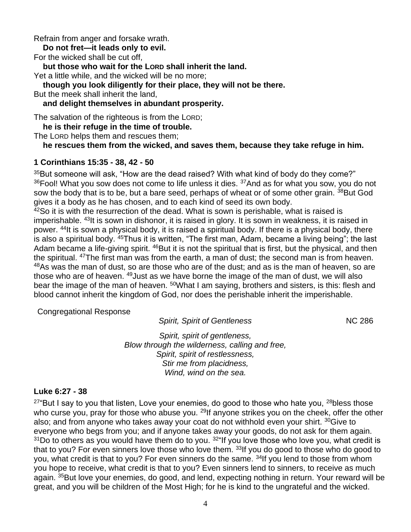Refrain from anger and forsake wrath.

**Do not fret—it leads only to evil.**

For the wicked shall be cut off,

**but those who wait for the LORD shall inherit the land.**

Yet a little while, and the wicked will be no more;

**though you look diligently for their place, they will not be there.**

But the meek shall inherit the land,

**and delight themselves in abundant prosperity.**

The salvation of the righteous is from the LORD;

**he is their refuge in the time of trouble.**

The LORD helps them and rescues them;

**he rescues them from the wicked, and saves them, because they take refuge in him.**

# **1 Corinthians 15:35 - 38, 42 - 50**

 $35$ But someone will ask, "How are the dead raised? With what kind of body do they come?"  $36$ Fool! What you sow does not come to life unless it dies.  $37$ And as for what you sow, you do not sow the body that is to be, but a bare seed, perhaps of wheat or of some other grain. <sup>38</sup>But God gives it a body as he has chosen, and to each kind of seed its own body.

 $42$ So it is with the resurrection of the dead. What is sown is perishable, what is raised is imperishable. <sup>43</sup>It is sown in dishonor, it is raised in glory. It is sown in weakness, it is raised in power. <sup>44</sup>It is sown a physical body, it is raised a spiritual body. If there is a physical body, there is also a spiritual body. <sup>45</sup>Thus it is written, "The first man, Adam, became a living being"; the last Adam became a life-giving spirit. <sup>46</sup>But it is not the spiritual that is first, but the physical, and then the spiritual. <sup>47</sup>The first man was from the earth, a man of dust; the second man is from heaven. <sup>48</sup>As was the man of dust, so are those who are of the dust; and as is the man of heaven, so are those who are of heaven. <sup>49</sup>Just as we have borne the image of the man of dust, we will also bear the image of the man of heaven. <sup>50</sup>What I am saying, brothers and sisters, is this: flesh and blood cannot inherit the kingdom of God, nor does the perishable inherit the imperishable.

Congregational Response

**Spirit, Spirit of Gentleness** NC 286

*Spirit, spirit of gentleness, Blow through the wilderness, calling and free, Spirit, spirit of restlessness, Stir me from placidness, Wind, wind on the sea.*

## **Luke 6:27 - 38**

 $27^{\circ}$ But I say to you that listen, Love your enemies, do good to those who hate you,  $28$ bless those who curse you, pray for those who abuse you.  $^{29}$ If anyone strikes you on the cheek, offer the other also; and from anyone who takes away your coat do not withhold even your shirt. <sup>30</sup>Give to everyone who begs from you; and if anyone takes away your goods, do not ask for them again.  $31$ Do to others as you would have them do to you.  $32$ "If you love those who love you, what credit is that to you? For even sinners love those who love them. <sup>33</sup>If you do good to those who do good to you, what credit is that to you? For even sinners do the same. <sup>34</sup>If you lend to those from whom you hope to receive, what credit is that to you? Even sinners lend to sinners, to receive as much again. <sup>35</sup>But love your enemies, do good, and lend, expecting nothing in return. Your reward will be great, and you will be children of the Most High; for he is kind to the ungrateful and the wicked.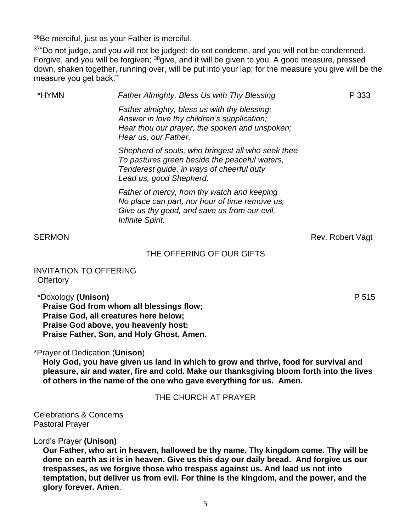<sup>36</sup>Be merciful, just as your Father is merciful.

 $37^{\circ}$ Do not judge, and you will not be judged; do not condemn, and you will not be condemned. Forgive, and you will be forgiven; <sup>38</sup>give, and it will be given to you. A good measure, pressed down, shaken together, running over, will be put into your lap; for the measure you give will be the measure you get back."

| *HYMN  | <b>Father Almighty, Bless Us with Thy Blessing</b>                                                                                                                         | P 333            |
|--------|----------------------------------------------------------------------------------------------------------------------------------------------------------------------------|------------------|
|        | Father almighty, bless us with thy blessing;<br>Answer in love thy children's supplication;<br>Hear thou our prayer, the spoken and unspoken;<br>Hear us, our Father.      |                  |
|        | Shepherd of souls, who bringest all who seek thee<br>To pastures green beside the peaceful waters,<br>Tenderest guide, in ways of cheerful duty<br>Lead us, good Shepherd. |                  |
|        | Father of mercy, from thy watch and keeping<br>No place can part, nor hour of time remove us;<br>Give us thy good, and save us from our evil,<br>Infinite Spirit.          |                  |
| SERMON |                                                                                                                                                                            | Rev. Robert Vagt |

## THE OFFERING OF OUR GIFTS

INVITATION TO OFFERING **Offertory** 

\*Doxology **(Unison)** P 515

**Praise God from whom all blessings flow; Praise God, all creatures here below; Praise God above, you heavenly host: Praise Father, Son, and Holy Ghost. Amen.**

\*Prayer of Dedication (**Unison**)

**Holy God, you have given us land in which to grow and thrive, food for survival and pleasure, air and water, fire and cold. Make our thanksgiving bloom forth into the lives of others in the name of the one who gave everything for us. Amen.**

## THE CHURCH AT PRAYER

Celebrations & Concerns Pastoral Prayer

Lord's Prayer **(Unison)**

**Our Father, who art in heaven, hallowed be thy name. Thy kingdom come. Thy will be done on earth as it is in heaven. Give us this day our daily bread. And forgive us our trespasses, as we forgive those who trespass against us. And lead us not into temptation, but deliver us from evil. For thine is the kingdom, and the power, and the glory forever. Amen**.